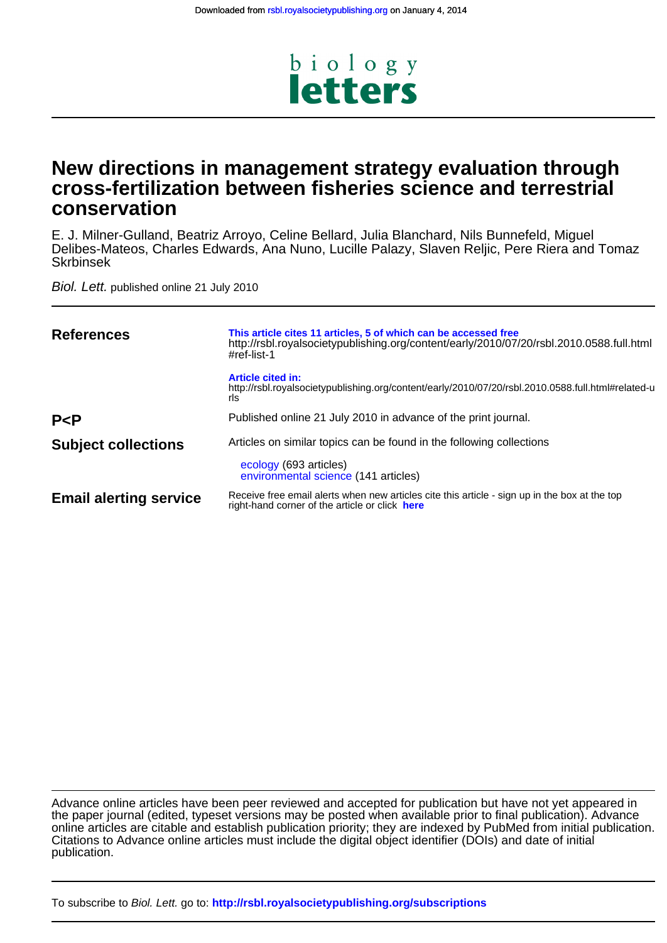

# **conservation cross-fertilization between fisheries science and terrestrial New directions in management strategy evaluation through**

Skrbinsek Delibes-Mateos, Charles Edwards, Ana Nuno, Lucille Palazy, Slaven Reljic, Pere Riera and Tomaz E. J. Milner-Gulland, Beatriz Arroyo, Celine Bellard, Julia Blanchard, Nils Bunnefeld, Miguel

Biol. Lett. published online 21 July 2010

| <b>References</b>             | This article cites 11 articles, 5 of which can be accessed free<br>http://rsbl.royalsocietypublishing.org/content/early/2010/07/20/rsbl.2010.0588.full.html<br>#ref-list-1 |
|-------------------------------|----------------------------------------------------------------------------------------------------------------------------------------------------------------------------|
|                               | <b>Article cited in:</b><br>http://rsbl.royalsocietypublishing.org/content/early/2010/07/20/rsbl.2010.0588.full.html#related-u<br>rls                                      |
| P < P                         | Published online 21 July 2010 in advance of the print journal.                                                                                                             |
| <b>Subject collections</b>    | Articles on similar topics can be found in the following collections<br>ecology (693 articles)                                                                             |
|                               | environmental science (141 articles)                                                                                                                                       |
| <b>Email alerting service</b> | Receive free email alerts when new articles cite this article - sign up in the box at the top<br>right-hand corner of the article or click here                            |

publication. Citations to Advance online articles must include the digital object identifier (DOIs) and date of initial online articles are citable and establish publication priority; they are indexed by PubMed from initial publication. the paper journal (edited, typeset versions may be posted when available prior to final publication). Advance Advance online articles have been peer reviewed and accepted for publication but have not yet appeared in

To subscribe to Biol. Lett. go to: **<http://rsbl.royalsocietypublishing.org/subscriptions>**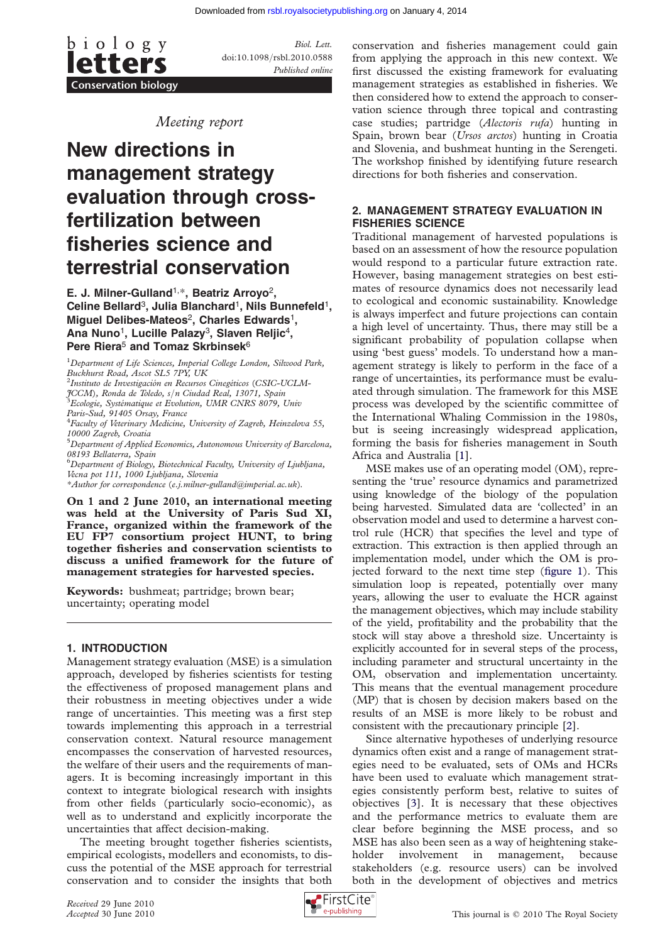

Biol. Lett. doi:10.1098/rsbl.2010.0588 Published online

Meeting report

# New directions in management strategy evaluation through crossfertilization between fisheries science and terrestrial conservation

E. J. Milner-Gulland<sup>1,\*</sup>, Beatriz Arroyo<sup>2</sup>, Celine Bellard<sup>3</sup>, Julia Blanchard<sup>1</sup>, Nils Bunnefeld<sup>1</sup>, Miguel Delibes-Mateos<sup>2</sup>, Charles Edwards<sup>1</sup>, Ana Nuno<sup>1</sup>, Lucille Palazy<sup>3</sup>, Slaven Reljic<sup>4</sup>, Pere Riera<sup>5</sup> and Tomaz Skrbinsek<sup>6</sup>

<sup>2</sup>Instituto de Investigación en Recursos Cinegéticos (CSIC-UCLM-JCCM), Ronda de Toledo, s/n Ciudad Real, 13071, Spain <sup>3</sup>

 $\overline{B}$ Ecologie, Systématique et Evolution, UMR CNRS 8079, Univ

Paris-Sud, 91405 Orsay, France <sup>4</sup> Faculty of Veterinary Medicine, University of Zagreb, Heinzelova 55, 10000 Zagreb, Croatia

<sup>5</sup>Department of Applied Economics, Autonomous University of Barcelona, 08193 Bellaterra, Spain

<sup>6</sup>Department of Biology, Biotechnical Faculty, University of Ljubljana, Vecna pot 111, 1000 Ljubljana, Slovenia

\*Author for correspondence ([e.j.milner-gulland@imperial.ac.uk](mailto:e.j.milner-gulland@imperial.ac.uk)).

On 1 and 2 June 2010, an international meeting was held at the University of Paris Sud XI, France, organized within the framework of the EU FP7 consortium project HUNT, to bring together fisheries and conservation scientists to discuss a unified framework for the future of management strategies for harvested species.

Keywords: bushmeat; partridge; brown bear; uncertainty; operating model

## 1. INTRODUCTION

Management strategy evaluation (MSE) is a simulation approach, developed by fisheries scientists for testing the effectiveness of proposed management plans and their robustness in meeting objectives under a wide range of uncertainties. This meeting was a first step towards implementing this approach in a terrestrial conservation context. Natural resource management encompasses the conservation of harvested resources, the welfare of their users and the requirements of managers. It is becoming increasingly important in this context to integrate biological research with insights from other fields (particularly socio-economic), as well as to understand and explicitly incorporate the uncertainties that affect decision-making.

The meeting brought together fisheries scientists, empirical ecologists, modellers and economists, to discuss the potential of the MSE approach for terrestrial conservation and to consider the insights that both

conservation and fisheries management could gain from applying the approach in this new context. We first discussed the existing framework for evaluating management strategies as established in fisheries. We then considered how to extend the approach to conservation science through three topical and contrasting case studies; partridge (Alectoris rufa) hunting in Spain, brown bear (Ursos arctos) hunting in Croatia and Slovenia, and bushmeat hunting in the Serengeti. The workshop finished by identifying future research directions for both fisheries and conservation.

### 2. MANAGEMENT STRATEGY EVALUATION IN FISHERIES SCIENCE

Traditional management of harvested populations is based on an assessment of how the resource population would respond to a particular future extraction rate. However, basing management strategies on best estimates of resource dynamics does not necessarily lead to ecological and economic sustainability. Knowledge is always imperfect and future projections can contain a high level of uncertainty. Thus, there may still be a significant probability of population collapse when using 'best guess' models. To understand how a management strategy is likely to perform in the face of a range of uncertainties, its performance must be evaluated through simulation. The framework for this MSE process was developed by the scientific committee of the International Whaling Commission in the 1980s, but is seeing increasingly widespread application, forming the basis for fisheries management in South Africa and Australia [[1](#page-3-0)].

MSE makes use of an operating model (OM), representing the 'true' resource dynamics and parametrized using knowledge of the biology of the population being harvested. Simulated data are 'collected' in an observation model and used to determine a harvest control rule (HCR) that specifies the level and type of extraction. This extraction is then applied through an implementation model, under which the OM is projected forward to the next time step ([figure 1\)](#page-2-0). This simulation loop is repeated, potentially over many years, allowing the user to evaluate the HCR against the management objectives, which may include stability of the yield, profitability and the probability that the stock will stay above a threshold size. Uncertainty is explicitly accounted for in several steps of the process, including parameter and structural uncertainty in the OM, observation and implementation uncertainty. This means that the eventual management procedure (MP) that is chosen by decision makers based on the results of an MSE is more likely to be robust and consistent with the precautionary principle [\[2\]](#page-3-0).

Since alternative hypotheses of underlying resource dynamics often exist and a range of management strategies need to be evaluated, sets of OMs and HCRs have been used to evaluate which management strategies consistently perform best, relative to suites of objectives [[3](#page-3-0)]. It is necessary that these objectives and the performance metrics to evaluate them are clear before beginning the MSE process, and so MSE has also been seen as a way of heightening stakeholder involvement in management, because stakeholders (e.g. resource users) can be involved both in the development of objectives and metrics



<sup>&</sup>lt;sup>1</sup>Department of Life Sciences, Imperial College London, Silwood Park, Buckhurst Road, Ascot SL5 7PY, UK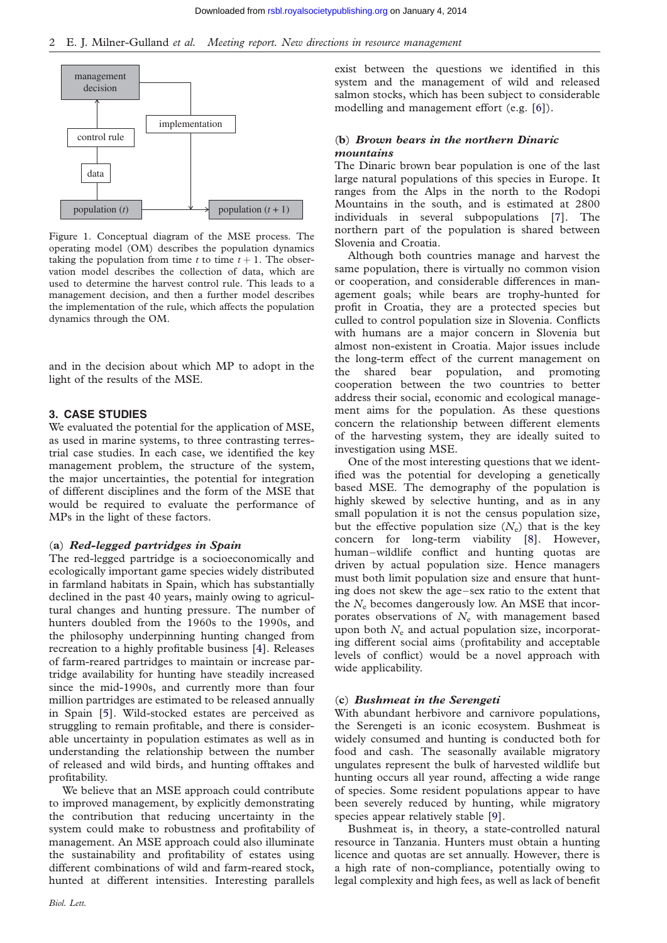<span id="page-2-0"></span>

Figure 1. Conceptual diagram of the MSE process. The operating model (OM) describes the population dynamics taking the population from time t to time  $t + 1$ . The observation model describes the collection of data, which are used to determine the harvest control rule. This leads to a management decision, and then a further model describes the implementation of the rule, which affects the population dynamics through the OM.

and in the decision about which MP to adopt in the light of the results of the MSE.

#### 3. CASE STUDIES

We evaluated the potential for the application of MSE, as used in marine systems, to three contrasting terrestrial case studies. In each case, we identified the key management problem, the structure of the system, the major uncertainties, the potential for integration of different disciplines and the form of the MSE that would be required to evaluate the performance of MPs in the light of these factors.

#### (a) Red-legged partridges in Spain

The red-legged partridge is a socioeconomically and ecologically important game species widely distributed in farmland habitats in Spain, which has substantially declined in the past 40 years, mainly owing to agricultural changes and hunting pressure. The number of hunters doubled from the 1960s to the 1990s, and the philosophy underpinning hunting changed from recreation to a highly profitable business [[4](#page-3-0)]. Releases of farm-reared partridges to maintain or increase partridge availability for hunting have steadily increased since the mid-1990s, and currently more than four million partridges are estimated to be released annually in Spain [[5](#page-3-0)]. Wild-stocked estates are perceived as struggling to remain profitable, and there is considerable uncertainty in population estimates as well as in understanding the relationship between the number of released and wild birds, and hunting offtakes and profitability.

We believe that an MSE approach could contribute to improved management, by explicitly demonstrating the contribution that reducing uncertainty in the system could make to robustness and profitability of management. An MSE approach could also illuminate the sustainability and profitability of estates using different combinations of wild and farm-reared stock, hunted at different intensities. Interesting parallels

Biol. Lett.

exist between the questions we identified in this system and the management of wild and released salmon stocks, which has been subject to considerable modelling and management effort (e.g. [\[6\]](#page-3-0)).

#### (b) Brown bears in the northern Dinaric mountains

The Dinaric brown bear population is one of the last large natural populations of this species in Europe. It ranges from the Alps in the north to the Rodopi Mountains in the south, and is estimated at 2800 individuals in several subpopulations [\[7\]](#page-3-0). The northern part of the population is shared between Slovenia and Croatia.

Although both countries manage and harvest the same population, there is virtually no common vision or cooperation, and considerable differences in management goals; while bears are trophy-hunted for profit in Croatia, they are a protected species but culled to control population size in Slovenia. Conflicts with humans are a major concern in Slovenia but almost non-existent in Croatia. Major issues include the long-term effect of the current management on the shared bear population, and promoting cooperation between the two countries to better address their social, economic and ecological management aims for the population. As these questions concern the relationship between different elements of the harvesting system, they are ideally suited to investigation using MSE.

One of the most interesting questions that we identified was the potential for developing a genetically based MSE. The demography of the population is highly skewed by selective hunting, and as in any small population it is not the census population size, but the effective population size  $(N_e)$  that is the key concern for long-term viability [\[8\]](#page-3-0). However, human –wildlife conflict and hunting quotas are driven by actual population size. Hence managers must both limit population size and ensure that hunting does not skew the age – sex ratio to the extent that the  $N_{e}$  becomes dangerously low. An MSE that incorporates observations of  $N_e$  with management based upon both  $N_e$  and actual population size, incorporating different social aims (profitability and acceptable levels of conflict) would be a novel approach with wide applicability.

#### (c) Bushmeat in the Serengeti

With abundant herbivore and carnivore populations, the Serengeti is an iconic ecosystem. Bushmeat is widely consumed and hunting is conducted both for food and cash. The seasonally available migratory ungulates represent the bulk of harvested wildlife but hunting occurs all year round, affecting a wide range of species. Some resident populations appear to have been severely reduced by hunting, while migratory species appear relatively stable [\[9\]](#page-3-0).

Bushmeat is, in theory, a state-controlled natural resource in Tanzania. Hunters must obtain a hunting licence and quotas are set annually. However, there is a high rate of non-compliance, potentially owing to legal complexity and high fees, as well as lack of benefit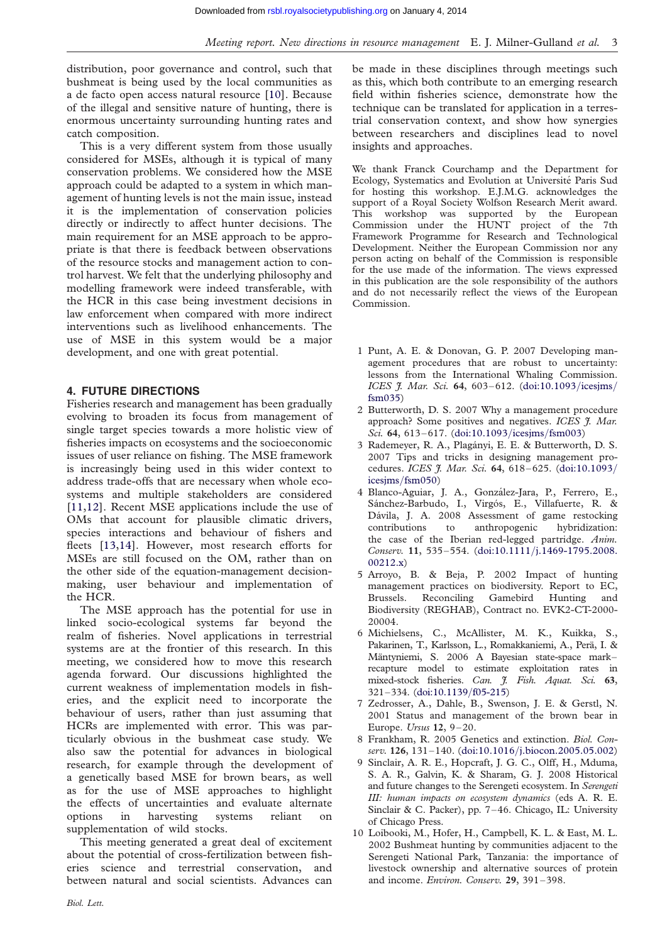<span id="page-3-0"></span>distribution, poor governance and control, such that bushmeat is being used by the local communities as a de facto open access natural resource [10]. Because of the illegal and sensitive nature of hunting, there is enormous uncertainty surrounding hunting rates and catch composition.

This is a very different system from those usually considered for MSEs, although it is typical of many conservation problems. We considered how the MSE approach could be adapted to a system in which management of hunting levels is not the main issue, instead it is the implementation of conservation policies directly or indirectly to affect hunter decisions. The main requirement for an MSE approach to be appropriate is that there is feedback between observations of the resource stocks and management action to control harvest. We felt that the underlying philosophy and modelling framework were indeed transferable, with the HCR in this case being investment decisions in law enforcement when compared with more indirect interventions such as livelihood enhancements. The use of MSE in this system would be a major development, and one with great potential.

# 4. FUTURE DIRECTIONS

Fisheries research and management has been gradually evolving to broaden its focus from management of single target species towards a more holistic view of fisheries impacts on ecosystems and the socioeconomic issues of user reliance on fishing. The MSE framework is increasingly being used in this wider context to address trade-offs that are necessary when whole ecosystems and multiple stakeholders are considered [\[11,12](#page-4-0)]. Recent MSE applications include the use of OMs that account for plausible climatic drivers, species interactions and behaviour of fishers and fleets [\[13,14](#page-4-0)]. However, most research efforts for MSEs are still focused on the OM, rather than on the other side of the equation-management decisionmaking, user behaviour and implementation of the HCR.

The MSE approach has the potential for use in linked socio-ecological systems far beyond the realm of fisheries. Novel applications in terrestrial systems are at the frontier of this research. In this meeting, we considered how to move this research agenda forward. Our discussions highlighted the current weakness of implementation models in fisheries, and the explicit need to incorporate the behaviour of users, rather than just assuming that HCRs are implemented with error. This was particularly obvious in the bushmeat case study. We also saw the potential for advances in biological research, for example through the development of a genetically based MSE for brown bears, as well as for the use of MSE approaches to highlight the effects of uncertainties and evaluate alternate options in harvesting systems reliant on supplementation of wild stocks.

This meeting generated a great deal of excitement about the potential of cross-fertilization between fisheries science and terrestrial conservation, and between natural and social scientists. Advances can

be made in these disciplines through meetings such as this, which both contribute to an emerging research field within fisheries science, demonstrate how the technique can be translated for application in a terrestrial conservation context, and show how synergies between researchers and disciplines lead to novel insights and approaches.

We thank Franck Courchamp and the Department for Ecology, Systematics and Evolution at Université Paris Sud for hosting this workshop. E.J.M.G. acknowledges the support of a Royal Society Wolfson Research Merit award. This workshop was supported by the European Commission under the HUNT project of the 7th Framework Programme for Research and Technological Development. Neither the European Commission nor any person acting on behalf of the Commission is responsible for the use made of the information. The views expressed in this publication are the sole responsibility of the authors and do not necessarily reflect the views of the European Commission.

- 1 Punt, A. E. & Donovan, G. P. 2007 Developing management procedures that are robust to uncertainty: lessons from the International Whaling Commission. ICES J. Mar. Sci. 64, 603 –612. ([doi:10.1093](http://dx.doi.org/doi:10.1093/icesjms/fsm035)/icesjms/ [fsm035\)](http://dx.doi.org/doi:10.1093/icesjms/fsm035)
- 2 Butterworth, D. S. 2007 Why a management procedure approach? Some positives and negatives. ICES *J. Mar.* Sci. 64, 613–617. ([doi:10.1093](http://dx.doi.org/doi:10.1093/icesjms/fsm003)/icesjms/fsm003)
- 3 Rademeyer, R. A., Plaga´nyi, E. E. & Butterworth, D. S. 2007 Tips and tricks in designing management procedures. ICES J. Mar. Sci. 64, 618 –625. ([doi:10.1093](http://dx.doi.org/doi:10.1093/icesjms/fsm050)/ icesjms/[fsm050](http://dx.doi.org/doi:10.1093/icesjms/fsm050))
- 4 Blanco-Aguiar, J. A., González-Jara, P., Ferrero, E., Sánchez-Barbudo, I., Virgós, E., Villafuerte, R. & Dávila, J. A. 2008 Assessment of game restocking contributions to anthropogenic hybridization: the case of the Iberian red-legged partridge. Anim. Conserv. 11, 535 –554. (doi:10.1111/[j.1469-1795.2008.](http://dx.doi.org/doi:10.1111/j.1469-1795.2008.00212.x) [00212.x](http://dx.doi.org/doi:10.1111/j.1469-1795.2008.00212.x))
- 5 Arroyo, B. & Beja, P. 2002 Impact of hunting management practices on biodiversity. Report to EC, Brussels. Reconciling Gamebird Hunting and Biodiversity (REGHAB), Contract no. EVK2-CT-2000- 20004.
- 6 Michielsens, C., McAllister, M. K., Kuikka, S., Pakarinen, T., Karlsson, L., Romakkaniemi, A., Perä, I. & Mäntyniemi, S. 2006 A Bayesian state-space markrecapture model to estimate exploitation rates in mixed-stock fisheries. Can. J. Fish. Aquat. Sci. 63, 321–334. [\(doi:10.1139](http://dx.doi.org/doi:10.1139/f05-215)/f05-215)
- 7 Zedrosser, A., Dahle, B., Swenson, J. E. & Gerstl, N. 2001 Status and management of the brown bear in Europe. Ursus 12, 9–20.
- 8 Frankham, R. 2005 Genetics and extinction. Biol. Conserv. 126, 131-140. (doi:10.1016/[j.biocon.2005.05.002](http://dx.doi.org/doi:10.1016/j.biocon.2005.05.002))
- 9 Sinclair, A. R. E., Hopcraft, J. G. C., Olff, H., Mduma, S. A. R., Galvin, K. & Sharam, G. J. 2008 Historical and future changes to the Serengeti ecosystem. In Serengeti III: human impacts on ecosystem dynamics (eds A. R. E. Sinclair & C. Packer), pp. 7–46. Chicago, IL: University of Chicago Press.
- 10 Loibooki, M., Hofer, H., Campbell, K. L. & East, M. L. 2002 Bushmeat hunting by communities adjacent to the Serengeti National Park, Tanzania: the importance of livestock ownership and alternative sources of protein and income. Environ. Conserv. 29, 391-398.